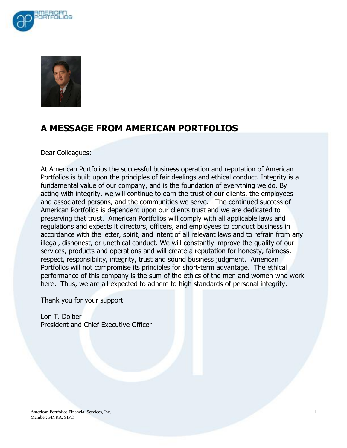



# **A MESSAGE FROM AMERICAN PORTFOLIOS**

Dear Colleagues:

At American Portfolios the successful business operation and reputation of American Portfolios is built upon the principles of fair dealings and ethical conduct. Integrity is a fundamental value of our company, and is the foundation of everything we do. By acting with integrity, we will continue to earn the trust of our clients, the employees and associated persons, and the communities we serve. The continued success of American Portfolios is dependent upon our clients trust and we are dedicated to preserving that trust. American Portfolios will comply with all applicable laws and regulations and expects it directors, officers, and employees to conduct business in accordance with the letter, spirit, and intent of all relevant laws and to refrain from any illegal, dishonest, or unethical conduct. We will constantly improve the quality of our services, products and operations and will create a reputation for honesty, fairness, respect, responsibility, integrity, trust and sound business judgment. American Portfolios will not compromise its principles for short-term advantage. The ethical performance of this company is the sum of the ethics of the men and women who work here. Thus, we are all expected to adhere to high standards of personal integrity.

Thank you for your support.

Lon T. Dolber President and Chief Executive Officer

American Portfolios Financial Services, Inc. 1 Member: FINRA, SIPC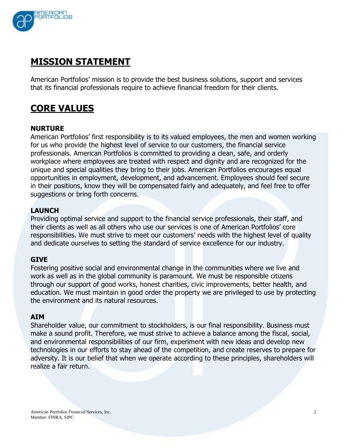

# **MISSION STATEMENT**

American Portfolios' mission is to provide the best business solutions, support and services that its financial professionals require to achieve financial freedom for their clients.

# **CORE VALUES**

### **NURTURE**

American Portfolios' first responsibility is to its valued employees, the men and women working for us who provide the highest level of service to our customers, the financial service professionals. American Portfolios is committed to providing a clean, safe, and orderly workplace where employees are treated with respect and dignity and are recognized for the unique and special qualities they bring to their jobs. American Portfolios encourages equal opportunities in employment, development, and advancement. Employees should feel secure in their positions, know they will be compensated fairly and adequately, and feel free to offer suggestions or bring forth concerns.

## **LAUNCH**

Providing optimal service and support to the financial service professionals, their staff, and their clients as well as all others who use our services is one of American Portfolios' core responsibilities. We must strive to meet our customers' needs with the highest level of quality and dedicate ourselves to setting the standard of service excellence for our industry.

### **GIVE**

Fostering positive social and environmental change in the communities where we live and work as well as in the global community is paramount. We must be responsible citizens through our support of good works, honest charities, civic improvements, better health, and education. We must maintain in good order the property we are privileged to use by protecting the environment and its natural resources.

### **AIM**

Shareholder value, our commitment to stockholders, is our final responsibility. Business must make a sound profit. Therefore, we must strive to achieve a balance among the fiscal, social, and environmental responsibilities of our firm, experiment with new ideas and develop new technologies in our efforts to stay ahead of the competition, and create reserves to prepare for adversity. It is our belief that when we operate according to these principles, shareholders will realize a fair return.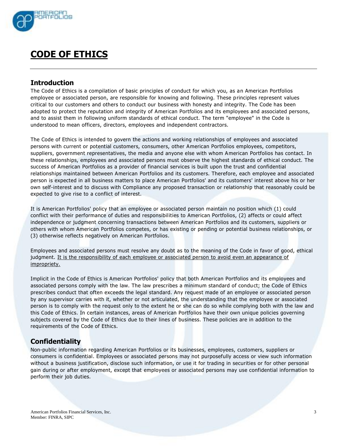

# **CODE OF ETHICS**

#### **Introduction**

The Code of Ethics is a compilation of basic principles of conduct for which you, as an American Portfolios employee or associated person, are responsible for knowing and following. These principles represent values critical to our customers and others to conduct our business with honesty and integrity. The Code has been adopted to protect the reputation and integrity of American Portfolios and its employees and associated persons, and to assist them in following uniform standards of ethical conduct. The term "employee" in the Code is understood to mean officers, directors, employees and independent contractors.

The Code of Ethics is intended to govern the actions and working relationships of employees and associated persons with current or potential customers, consumers, other American Portfolios employees, competitors, suppliers, government representatives, the media and anyone else with whom American Portfolios has contact. In these relationships, employees and associated persons must observe the highest standards of ethical conduct. The success of American Portfolios as a provider of financial services is built upon the trust and confidential relationships maintained between American Portfolios and its customers. Therefore, each employee and associated person is expected in all business matters to place American Portfolios' and its customers' interest above his or her own self-interest and to discuss with Compliance any proposed transaction or relationship that reasonably could be expected to give rise to a conflict of interest.

It is American Portfolios' policy that an employee or associated person maintain no position which (1) could conflict with their performance of duties and responsibilities to American Portfolios, (2) affects or could affect independence or judgment concerning transactions between American Portfolios and its customers, suppliers or others with whom American Portfolios competes, or has existing or pending or potential business relationships, or (3) otherwise reflects negatively on American Portfolios.

Employees and associated persons must resolve any doubt as to the meaning of the Code in favor of good, ethical judgment. It is the responsibility of each employee or associated person to avoid even an appearance of impropriety.

Implicit in the Code of Ethics is American Portfolios' policy that both American Portfolios and its employees and associated persons comply with the law. The law prescribes a minimum standard of conduct; the Code of Ethics prescribes conduct that often exceeds the legal standard. Any request made of an employee or associated person by any supervisor carries with it, whether or not articulated, the understanding that the employee or associated person is to comply with the request only to the extent he or she can do so while complying both with the law and this Code of Ethics. In certain instances, areas of American Portfolios have their own unique policies governing subjects covered by the Code of Ethics due to their lines of business. These policies are in addition to the requirements of the Code of Ethics.

### **Confidentiality**

Non-public information regarding American Portfolios or its businesses, employees, customers, suppliers or consumers is confidential. Employees or associated persons may not purposefully access or view such information without a business justification, disclose such information, or use it for trading in securities or for other personal gain during or after employment, except that employees or associated persons may use confidential information to perform their job duties.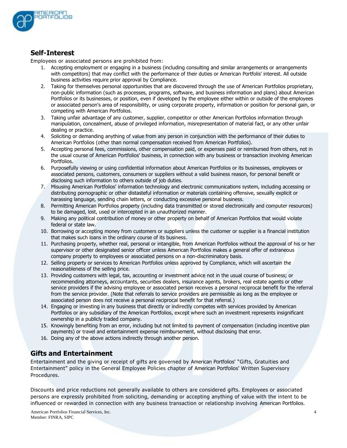

### **Self-Interest**

Employees or associated persons are prohibited from:

- 1. Accepting employment or engaging in a business (including consulting and similar arrangements or arrangements with competitors) that may conflict with the performance of their duties or American Portfolis' interest. All outside business activities require prior approval by Compliance.
- 2. Taking for themselves personal opportunities that are discovered through the use of American Portfolios proprietary, non-public information (such as processes, programs, software, and business information and plans) about American Portfolios or its businesses, or position, even if developed by the employee either within or outside of the employees or associated person's area of responsibility, or using corporate property, information or position for personal gain, or competing with American Portfolios.
- 3. Taking unfair advantage of any customer, supplier, competitor or other American Portfolios information through manipulation, concealment, abuse of privileged information, misrepresentation of material fact, or any other unfair dealing or practice.
- 4. Soliciting or demanding anything of value from any person in conjunction with the performance of their duties to American Portfolios (other than normal compensation received from American Portfolios).
- 5. Accepting personal fees, commissions, other compensation paid, or expenses paid or reimbursed from others, not in the usual course of American Portfolios' business, in connection with any business or transaction involving American Portfolios.
- 6. Purposefully viewing or using confidential information about American Portfolios or its businesses, employees or associated persons, customers, consumers or suppliers without a valid business reason, for personal benefit or disclosing such information to others outside of job duties.
- 7. Misusing American Portfolios' information technology and electronic communications system, including accessing or distributing pornographic or other distasteful information or materials containing offensive, sexually explicit or harassing language, sending chain letters, or conducting excessive personal business.
- 8. Permitting American Portfolios property (including data transmitted or stored electronically and computer resources) to be damaged, lost, used or intercepted in an unauthorized manner.
- 9. Making any political contribution of money or other property on behalf of American Portfolios that would violate federal or state law.
- 10. Borrowing or accepting money from customers or suppliers unless the customer or supplier is a financial institution that makes such loans in the ordinary course of its business.
- 11. Purchasing property, whether real, personal or intangible, from American Portfolios without the approval of his or her supervisor or other designated senior officer unless American Portfolios makes a general offer of extraneous company property to employees or associated persons on a non-discriminatory basis.
- 12. Selling property or services to American Portfolios unless approved by Compliance, which will ascertain the reasonableness of the selling price.
- 13. Providing customers with legal, tax, accounting or investment advice not in the usual course of business; or recommending attorneys, accountants, securities dealers, insurance agents, brokers, real estate agents or other service providers if the advising employee or associated person receives a personal reciprocal benefit for the referral from the service provider. (Note that referrals to service providers are permissible as long as the employee or associated person does not receive a personal reciprocal benefit for that referral.)
- 14. Engaging or investing in any business that directly or indirectly competes with services provided by American Portfolios or any subsidiary of the American Portfolios, except where such an investment represents insignificant ownership in a publicly traded company.
- 15. Knowingly benefiting from an error, including but not limited to payment of compensation (including incentive plan payments) or travel and entertainment expense reimbursement, without disclosing that error.
- 16. Doing any of the above actions indirectly through another person.

### **Gifts and Entertainment**

Entertainment and the giving or receipt of gifts are governed by American Portfolios' "Gifts, Gratuities and Entertainment" policy in the General Employee Policies chapter of American Portfolios' Written Supervisory Procedures.

Discounts and price reductions not generally available to others are considered gifts. Employees or associated persons are expressly prohibited from soliciting, demanding or accepting anything of value with the intent to be influenced or rewarded in connection with any business transaction or relationship involving American Portfolios.

American Portfolios Financial Services, Inc. 4 Member: FINRA, SIPC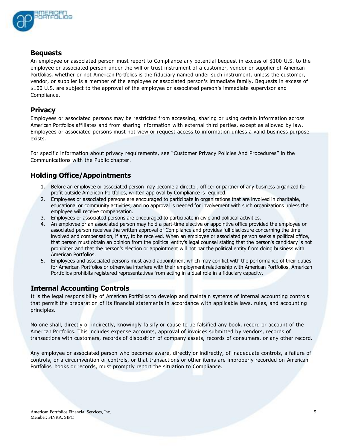

#### **Bequests**

An employee or associated person must report to Compliance any potential bequest in excess of \$100 U.S. to the employee or associated person under the will or trust instrument of a customer, vendor or supplier of American Portfolios, whether or not American Portfolios is the fiduciary named under such instrument, unless the customer, vendor, or supplier is a member of the employee or associated person's immediate family. Bequests in excess of \$100 U.S. are subject to the approval of the employee or associated person's immediate supervisor and Compliance.

### **Privacy**

Employees or associated persons may be restricted from accessing, sharing or using certain information across American Portfolios affiliates and from sharing information with external third parties, except as allowed by law. Employees or associated persons must not view or request access to information unless a valid business purpose exists.

For specific information about privacy requirements, see "Customer Privacy Policies And Procedures" in the Communications with the Public chapter.

# **Holding Office/Appointments**

- 1. Before an employee or associated person may become a director, officer or partner of any business organized for profit outside American Portfolios, written approval by Compliance is required.
- 2. Employees or associated persons are encouraged to participate in organizations that are involved in charitable, educational or community activities, and no approval is needed for involvement with such organizations unless the employee will receive compensation.
- 3. Employees or associated persons are encouraged to participate in civic and political activities.
- 4. An employee or an associated person may hold a part-time elective or appointive office provided the employee or associated person receives the written approval of Compliance and provides full disclosure concerning the time involved and compensation, if any, to be received. When an employee or associated person seeks a political office, that person must obtain an opinion from the political entity's legal counsel stating that the person's candidacy is not prohibited and that the person's election or appointment will not bar the political entity from doing business with American Portfolios.
- 5. Employees and associated persons must avoid appointment which may conflict with the performance of their duties for American Portfolios or otherwise interfere with their employment relationship with American Portfolios. American Portfolios prohibits registered representatives from acting in a dual role in a fiduciary capacity.

## **Internal Accounting Controls**

It is the legal responsibility of American Portfolios to develop and maintain systems of internal accounting controls that permit the preparation of its financial statements in accordance with applicable laws, rules, and accounting principles.

No one shall, directly or indirectly, knowingly falsify or cause to be falsified any book, record or account of the American Portfolios. This includes expense accounts, approval of invoices submitted by vendors, records of transactions with customers, records of disposition of company assets, records of consumers, or any other record.

Any employee or associated person who becomes aware, directly or indirectly, of inadequate controls, a failure of controls, or a circumvention of controls, or that transactions or other items are improperly recorded on American Portfolios' books or records, must promptly report the situation to Compliance.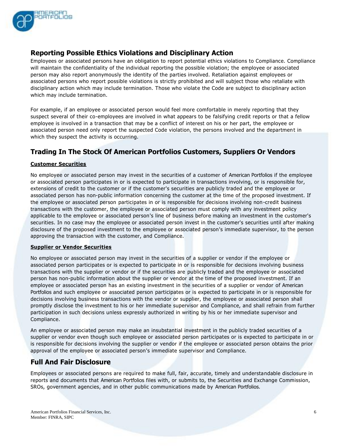

# **Reporting Possible Ethics Violations and Disciplinary Action**

Employees or associated persons have an obligation to report potential ethics violations to Compliance. Compliance will maintain the confidentiality of the individual reporting the possible violation; the employee or associated person may also report anonymously the identity of the parties involved. Retaliation against employees or associated persons who report possible violations is strictly prohibited and will subject those who retaliate with disciplinary action which may include termination. Those who violate the Code are subject to disciplinary action which may include termination.

For example, if an employee or associated person would feel more comfortable in merely reporting that they suspect several of their co-employees are involved in what appears to be falsifying credit reports or that a fellow employee is involved in a transaction that may be a conflict of interest on his or her part, the employee or associated person need only report the suspected Code violation, the persons involved and the department in which they suspect the activity is occurring.

# **Trading In The Stock Of American Portfolios Customers, Suppliers Or Vendors**

#### **Customer Securities**

No employee or associated person may invest in the securities of a customer of American Portfolios if the employee or associated person participates in or is expected to participate in transactions involving, or is responsible for, extensions of credit to the customer or if the customer's securities are publicly traded and the employee or associated person has non-public information concerning the customer at the time of the proposed investment. If the employee or associated person participates in or is responsible for decisions involving non-credit business transactions with the customer, the employee or associated person must comply with any investment policy applicable to the employee or associated person's line of business before making an investment in the customer's securities. In no case may the employee or associated person invest in the customer's securities until after making disclosure of the proposed investment to the employee or associated person's immediate supervisor, to the person approving the transaction with the customer, and Compliance.

#### **Supplier or Vendor Securities**

No employee or associated person may invest in the securities of a supplier or vendor if the employee or associated person participates or is expected to participate in or is responsible for decisions involving business transactions with the supplier or vendor or if the securities are publicly traded and the employee or associated person has non-public information about the supplier or vendor at the time of the proposed investment. If an employee or associated person has an existing investment in the securities of a supplier or vendor of American Portfolios and such employee or associated person participates or is expected to participate in or is responsible for decisions involving business transactions with the vendor or supplier, the employee or associated person shall promptly disclose the investment to his or her immediate supervisor and Compliance, and shall refrain from further participation in such decisions unless expressly authorized in writing by his or her immediate supervisor and Compliance.

An employee or associated person may make an insubstantial investment in the publicly traded securities of a supplier or vendor even though such employee or associated person participates or is expected to participate in or is responsible for decisions involving the supplier or vendor if the employee or associated person obtains the prior approval of the employee or associated person's immediate supervisor and Compliance.

### **Full And Fair Disclosure**

Employees or associated persons are required to make full, fair, accurate, timely and understandable disclosure in reports and documents that American Portfolios files with, or submits to, the Securities and Exchange Commission, SROs, government agencies, and in other public communications made by American Portfolios.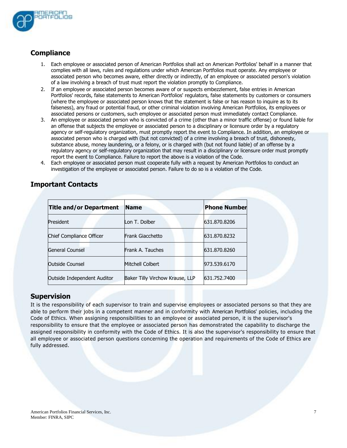

# **Compliance**

- 1. Each employee or associated person of American Portfolios shall act on American Portfolios' behalf in a manner that complies with all laws, rules and regulations under which American Portfolios must operate. Any employee or associated person who becomes aware, either directly or indirectly, of an employee or associated person's violation of a law involving a breach of trust must report the violation promptly to Compliance.
- 2. If an employee or associated person becomes aware of or suspects embezzlement, false entries in American Portfolios' records, false statements to American Portfolios' regulators, false statements by customers or consumers (where the employee or associated person knows that the statement is false or has reason to inquire as to its falseness), any fraud or potential fraud, or other criminal violation involving American Portfolios, its employees or associated persons or customers, such employee or associated person must immediately contact Compliance.
- 3. An employee or associated person who is convicted of a crime (other than a minor traffic offense) or found liable for an offense that subjects the employee or associated person to a disciplinary or licensure order by a regulatory agency or self-regulatory organization, must promptly report the event to Compliance. In addition, an employee or associated person who is charged with (but not convicted) of a crime involving a breach of trust, dishonesty, substance abuse, money laundering, or a felony, or is charged with (but not found liable) of an offense by a regulatory agency or self-regulatory organization that may result in a disciplinary or licensure order must promptly report the event to Compliance. Failure to report the above is a violation of the Code.
- 4. Each employee or associated person must cooperate fully with a request by American Portfolios to conduct an investigation of the employee or associated person. Failure to do so is a violation of the Code.

| <b>Title and/or Department</b> | <b>Name</b>                     | <b>Phone Number</b> |
|--------------------------------|---------------------------------|---------------------|
| President                      | Lon T. Dolber                   | 631.870.8206        |
| Chief Compliance Officer       | Frank Giacchetto                | 631.870.8232        |
| General Counsel                | Frank A. Tauches                | 631.870.8260        |
| Outside Counsel                | Mitchell Colbert                | 973.539.6170        |
| Outside Independent Auditor    | Baker Tilly Virchow Krause, LLP | 631.752.7400        |

# **Important Contacts**

### **Supervision**

It is the responsibility of each supervisor to train and supervise employees or associated persons so that they are able to perform their jobs in a competent manner and in conformity with American Portfolios' policies, including the Code of Ethics. When assigning responsibilities to an employee or associated person, it is the supervisor's responsibility to ensure that the employee or associated person has demonstrated the capability to discharge the assigned responsibility in conformity with the Code of Ethics. It is also the supervisor's responsibility to ensure that all employee or associated person questions concerning the operation and requirements of the Code of Ethics are fully addressed.